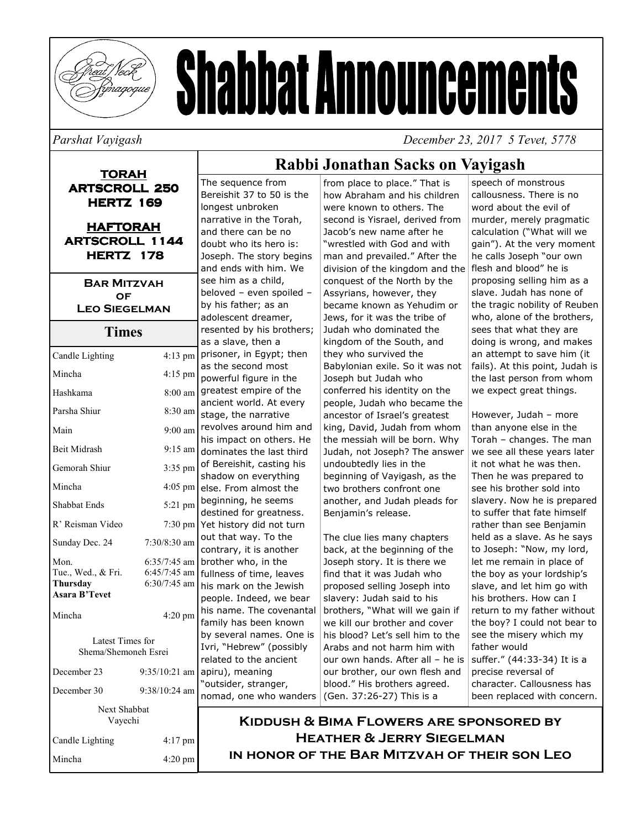

# **Shabbat Announcements**

#### Parshat Vavigash

*cember 23, 2017 5 Tevet, 5778* 

#### **TORAH ARTSCROLL 250 HERTZ 169**

#### **HAFTORAH ARTSCROLL 1144 HERTZ 178**

**BAR MITZVAH**  $OF$ **LEO SIEGELMAN** 

| Candle Lighting                                                | $4:13$ pm                                        |  |  |  |  |
|----------------------------------------------------------------|--------------------------------------------------|--|--|--|--|
| Mincha                                                         | $4:15$ pm                                        |  |  |  |  |
| Hashkama                                                       | 8:00 am                                          |  |  |  |  |
| Parsha Shiur                                                   | 8:30 am                                          |  |  |  |  |
| Main                                                           | $9:00$ am                                        |  |  |  |  |
| <b>Beit Midrash</b>                                            | $9:15$ am                                        |  |  |  |  |
| Gemorah Shiur                                                  | 3:35 pm                                          |  |  |  |  |
| Mincha                                                         | 4:05 pm                                          |  |  |  |  |
| <b>Shabbat Ends</b>                                            | 5:21 pm                                          |  |  |  |  |
| R' Reisman Video                                               | $7:30 \text{ pm}$                                |  |  |  |  |
| Sunday Dec. 24                                                 | 7:30/8:30 am                                     |  |  |  |  |
| Mon.<br>Tue., Wed., & Fri.<br>Thursday<br><b>Asara B'Tevet</b> | $6:35/7:45$ am<br>6:45/7:45 am<br>$6:30/7:45$ am |  |  |  |  |
| Mincha                                                         | $4:20 \text{ pm}$                                |  |  |  |  |
| Latest Times for<br>Shema/Shemoneh Esrei                       |                                                  |  |  |  |  |
| December 23                                                    | 9:35/10:21 am                                    |  |  |  |  |
| December 30                                                    | 9:38/10:24 am                                    |  |  |  |  |
| <b>Next Shabbat</b><br>Vayechi                                 |                                                  |  |  |  |  |
| Candle Lighting                                                | $4:17 \text{ pm}$                                |  |  |  |  |
| Mincha                                                         | 4:20 pm                                          |  |  |  |  |

The sequence from Bereishit 37 to 50 is the longest unbroken narrative in the Torah, and there can be no doubt who its hero is: Joseph. The story begins and ends with him. We see him as a child, beloved – even spoiled – by his father; as an adolescent dreamer, resented by his brothers; as a slave, then a prisoner, in Egypt; then as the second most powerful figure in the greatest empire of the ancient world. At every stage, the narrative revolves around him and his impact on others. He dominates the last third of Bereishit, casting his shadow on everything else. From almost the beginning, he seems destined for greatness. Yet history did not turn out that way. To the contrary, it is another brother who, in the fullness of time, leaves  $\text{m}$  his mark on the Jewish people. Indeed, we bear his name. The covenantal family has been known by several names. One is Ivri, "Hebrew" (possibly related to the ancient apiru), meaning "outsider, stranger, nomad, one who wanders

### Rabbi Jonathan Sacks on Vayigash

from place to place." That is how Abraham and his children were known to others. The second is Yisrael, derived from Jacob's new name after he "wrestled with God and with man and prevailed." After the division of the kingdom and the conquest of the North by the Assyrians, however, they became known as Yehudim or Jews, for it was the tribe of Judah who dominated the kingdom of the South, and they who survived the Babylonian exile. So it was not Joseph but Judah who conferred his identity on the people, Judah who became the ancestor of Israel's greatest king, David, Judah from whom the messiah will be born. Why Judah, not Joseph? The answer undoubtedly lies in the beginning of Vayigash, as the two brothers confront one another, and Judah pleads for Benjamin's release.

The clue lies many chapters back, at the beginning of the Joseph story. It is there we find that it was Judah who proposed selling Joseph into slavery: Judah said to his brothers, "What will we gain if we kill our brother and cover his blood? Let's sell him to the Arabs and not harm him with our own hands. After all – he is our brother, our own flesh and blood." His brothers agreed. (Gen. 37:26=27) This is a

speech of monstrous callousness. There is no word about the evil of murder, merely pragmatic calculation ("What will we gain"). At the very moment he calls Joseph "our own flesh and blood" he is proposing selling him as a slave. Judah has none of the tragic nobility of Reuben who, alone of the brothers, sees that what they are doing is wrong, and makes an attempt to save him (it fails). At this point, Judah is the last person from whom we expect great things.

However, Judah – more than anyone else in the Torah – changes. The man we see all these years later it not what he was then. Then he was prepared to see his brother sold into slavery. Now he is prepared to suffer that fate himself rather than see Benjamin held as a slave. As he says to Joseph: "Now, my lord, let me remain in place of the boy as your lordship's slave, and let him go with his brothers. How can I return to my father without the boy? I could not bear to see the misery which my father would suffer." (44:33=34) It is a precise reversal of character. Callousness has been replaced with concern.

**KIDDUSH & BIMA FLOWERS ARE SPONSORED BY HEATHER & JERRY SIEGELMAN** IN HONOR OF THE BAR MITZVAH OF THEIR SON LEO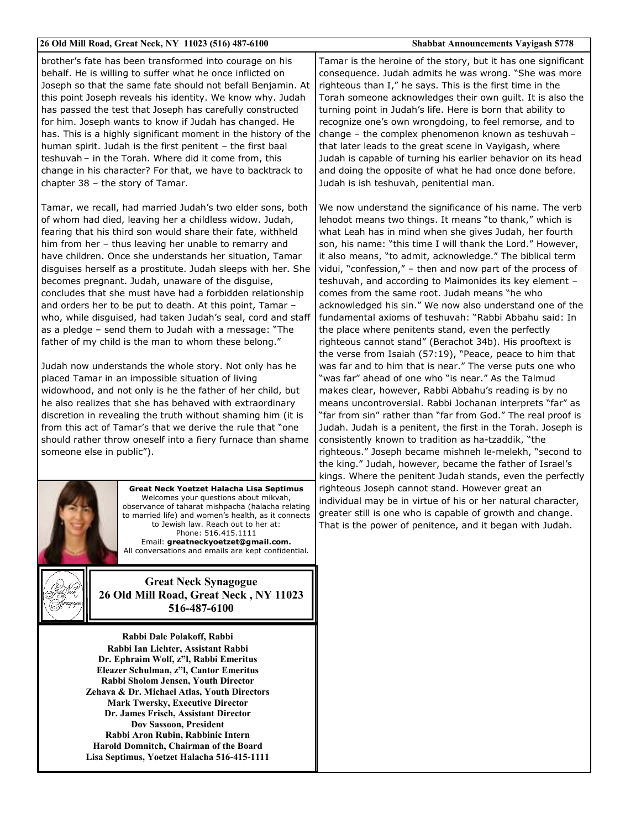| 26 Old Mill Road, Great Neck, NY 11023 (516) 487-6100                                                                                                                                                                                                                                                                                                                                                                                                                                                                                                                                                                                                                                                                                                                                                                                                                                                                                                                                                                                                                                                                                                                                                         | <b>Shabbat Announcements Vayigash 5778</b>                                                                                                                                                                                                                                                                                                                                                                                                                                                                                                                                                                                                                                                                                                                                                                                                                                                                                                                                                                                                                                                                                                                                                                                                                                                                                                      |  |  |
|---------------------------------------------------------------------------------------------------------------------------------------------------------------------------------------------------------------------------------------------------------------------------------------------------------------------------------------------------------------------------------------------------------------------------------------------------------------------------------------------------------------------------------------------------------------------------------------------------------------------------------------------------------------------------------------------------------------------------------------------------------------------------------------------------------------------------------------------------------------------------------------------------------------------------------------------------------------------------------------------------------------------------------------------------------------------------------------------------------------------------------------------------------------------------------------------------------------|-------------------------------------------------------------------------------------------------------------------------------------------------------------------------------------------------------------------------------------------------------------------------------------------------------------------------------------------------------------------------------------------------------------------------------------------------------------------------------------------------------------------------------------------------------------------------------------------------------------------------------------------------------------------------------------------------------------------------------------------------------------------------------------------------------------------------------------------------------------------------------------------------------------------------------------------------------------------------------------------------------------------------------------------------------------------------------------------------------------------------------------------------------------------------------------------------------------------------------------------------------------------------------------------------------------------------------------------------|--|--|
| brother's fate has been transformed into courage on his<br>behalf. He is willing to suffer what he once inflicted on<br>Joseph so that the same fate should not befall Benjamin. At<br>this point Joseph reveals his identity. We know why. Judah<br>has passed the test that Joseph has carefully constructed<br>for him. Joseph wants to know if Judah has changed. He<br>has. This is a highly significant moment in the history of the<br>human spirit. Judah is the first penitent - the first baal<br>teshuvah - in the Torah. Where did it come from, this<br>change in his character? For that, we have to backtrack to<br>chapter 38 - the story of Tamar.                                                                                                                                                                                                                                                                                                                                                                                                                                                                                                                                           | Tamar is the heroine of the story, but it has one significant<br>consequence. Judah admits he was wrong. "She was more<br>righteous than I," he says. This is the first time in the<br>Torah someone acknowledges their own guilt. It is also the<br>turning point in Judah's life. Here is born that ability to<br>recognize one's own wrongdoing, to feel remorse, and to<br>change - the complex phenomenon known as teshuvah -<br>that later leads to the great scene in Vayigash, where<br>Judah is capable of turning his earlier behavior on its head<br>and doing the opposite of what he had once done before.<br>Judah is ish teshuvah, penitential man.                                                                                                                                                                                                                                                                                                                                                                                                                                                                                                                                                                                                                                                                              |  |  |
| Tamar, we recall, had married Judah's two elder sons, both<br>of whom had died, leaving her a childless widow. Judah,<br>fearing that his third son would share their fate, withheld<br>him from her - thus leaving her unable to remarry and<br>have children. Once she understands her situation, Tamar<br>disguises herself as a prostitute. Judah sleeps with her. She<br>becomes pregnant. Judah, unaware of the disguise,<br>concludes that she must have had a forbidden relationship<br>and orders her to be put to death. At this point, Tamar -<br>who, while disguised, had taken Judah's seal, cord and staff<br>as a pledge - send them to Judah with a message: "The<br>father of my child is the man to whom these belong."<br>Judah now understands the whole story. Not only has he<br>placed Tamar in an impossible situation of living<br>widowhood, and not only is he the father of her child, but<br>he also realizes that she has behaved with extraordinary<br>discretion in revealing the truth without shaming him (it is<br>from this act of Tamar's that we derive the rule that "one<br>should rather throw oneself into a fiery furnace than shame<br>someone else in public"). | We now understand the significance of his name. The verb<br>lehodot means two things. It means "to thank," which is<br>what Leah has in mind when she gives Judah, her fourth<br>son, his name: "this time I will thank the Lord." However,<br>it also means, "to admit, acknowledge." The biblical term<br>vidui, "confession," - then and now part of the process of<br>teshuvah, and according to Maimonides its key element -<br>comes from the same root. Judah means "he who<br>acknowledged his sin." We now also understand one of the<br>fundamental axioms of teshuvah: "Rabbi Abbahu said: In<br>the place where penitents stand, even the perfectly<br>righteous cannot stand" (Berachot 34b). His prooftext is<br>the verse from Isaiah (57:19), "Peace, peace to him that<br>was far and to him that is near." The verse puts one who<br>"was far" ahead of one who "is near." As the Talmud<br>makes clear, however, Rabbi Abbahu's reading is by no<br>means uncontroversial. Rabbi Jochanan interprets "far" as<br>"far from sin" rather than "far from God." The real proof is<br>Judah. Judah is a penitent, the first in the Torah. Joseph is<br>consistently known to tradition as ha-tzaddik, "the<br>righteous." Joseph became mishneh le-melekh, "second to<br>the king." Judah, however, became the father of Israel's |  |  |
| <b>Great Neck Yoetzet Halacha Lisa Septimus</b><br>Welcomes your questions about mikvah,<br>observance of taharat mishpacha (halacha relating<br>to married life) and women's health, as it connects<br>to Jewish law. Reach out to her at:<br>Phone: 516.415.1111<br>Email: greatneckyoetzet@gmail.com.<br>All conversations and emails are kept confidential.                                                                                                                                                                                                                                                                                                                                                                                                                                                                                                                                                                                                                                                                                                                                                                                                                                               | kings. Where the penitent Judah stands, even the perfectly<br>righteous Joseph cannot stand. However great an<br>individual may be in virtue of his or her natural character,<br>greater still is one who is capable of growth and change.<br>That is the power of penitence, and it began with Judah.                                                                                                                                                                                                                                                                                                                                                                                                                                                                                                                                                                                                                                                                                                                                                                                                                                                                                                                                                                                                                                          |  |  |
| <b>Great Neck Synagogue</b><br>26 Old Mill Road, Great Neck, NY 11023<br>516-487-6100                                                                                                                                                                                                                                                                                                                                                                                                                                                                                                                                                                                                                                                                                                                                                                                                                                                                                                                                                                                                                                                                                                                         |                                                                                                                                                                                                                                                                                                                                                                                                                                                                                                                                                                                                                                                                                                                                                                                                                                                                                                                                                                                                                                                                                                                                                                                                                                                                                                                                                 |  |  |
| Rabbi Dale Polakoff, Rabbi<br>Rabbi Ian Lichter, Assistant Rabbi<br>Dr. Ephraim Wolf, z"l, Rabbi Emeritus<br>Eleazer Schulman, z"l, Cantor Emeritus<br>Rabbi Sholom Jensen, Youth Director<br>Zehava & Dr. Michael Atlas, Youth Directors<br><b>Mark Twersky, Executive Director</b><br>Dr. James Frisch, Assistant Director<br>Dov Sassoon, President<br>Rabbi Aron Rubin, Rabbinic Intern<br>Harold Domnitch, Chairman of the Board                                                                                                                                                                                                                                                                                                                                                                                                                                                                                                                                                                                                                                                                                                                                                                         |                                                                                                                                                                                                                                                                                                                                                                                                                                                                                                                                                                                                                                                                                                                                                                                                                                                                                                                                                                                                                                                                                                                                                                                                                                                                                                                                                 |  |  |

**Lisa Septimus, Yoetzet Halacha 516-415-1111**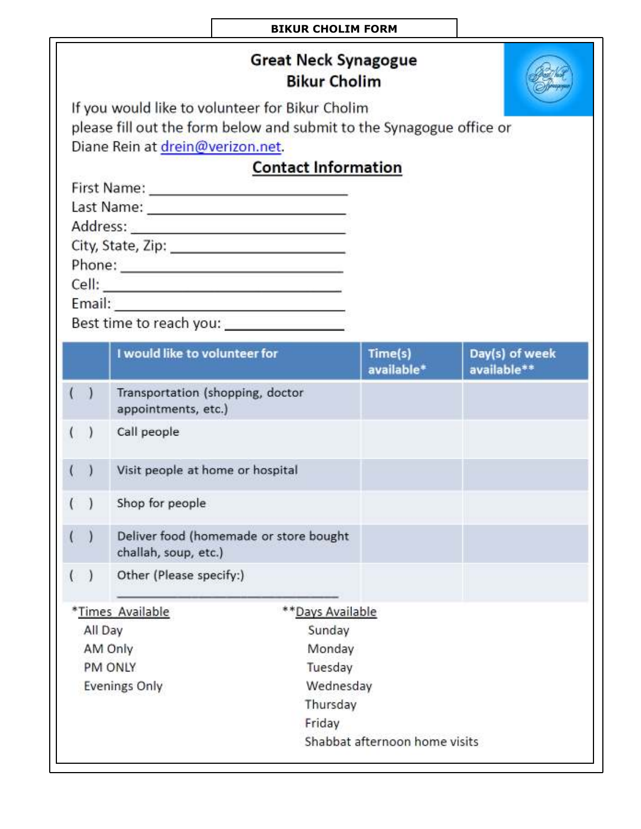#### **BIKUR CHOLIM FORM**

| <b>Great Neck Synagogue</b><br><b>Bikur Cholim</b> |                                                                                                                                                             |                   |                       |                               |  |  |  |
|----------------------------------------------------|-------------------------------------------------------------------------------------------------------------------------------------------------------------|-------------------|-----------------------|-------------------------------|--|--|--|
|                                                    | If you would like to volunteer for Bikur Cholim<br>please fill out the form below and submit to the Synagogue office or<br>Diane Rein at drein@verizon.net. |                   |                       |                               |  |  |  |
| <b>Contact Information</b>                         |                                                                                                                                                             |                   |                       |                               |  |  |  |
|                                                    |                                                                                                                                                             |                   |                       |                               |  |  |  |
| Last Name: ______________________________          |                                                                                                                                                             |                   |                       |                               |  |  |  |
| Address: ________________________________          |                                                                                                                                                             |                   |                       |                               |  |  |  |
| City, State, Zip: 1999. [19]                       |                                                                                                                                                             |                   |                       |                               |  |  |  |
|                                                    |                                                                                                                                                             |                   |                       |                               |  |  |  |
|                                                    |                                                                                                                                                             |                   |                       |                               |  |  |  |
|                                                    |                                                                                                                                                             |                   |                       |                               |  |  |  |
|                                                    |                                                                                                                                                             |                   |                       |                               |  |  |  |
|                                                    | I would like to volunteer for                                                                                                                               |                   | Time(s)<br>available* | Day(s) of week<br>available** |  |  |  |
| ( )                                                | Transportation (shopping, doctor<br>appointments, etc.)                                                                                                     |                   |                       |                               |  |  |  |
| $\left($<br>$\lambda$                              | Call people                                                                                                                                                 |                   |                       |                               |  |  |  |
| $\left($<br>$\lambda$                              | Visit people at home or hospital                                                                                                                            |                   |                       |                               |  |  |  |
| ( )                                                | Shop for people                                                                                                                                             |                   |                       |                               |  |  |  |
|                                                    | Deliver food (homemade or store bought<br>challah, soup, etc.)                                                                                              |                   |                       |                               |  |  |  |
|                                                    | Other (Please specify:)                                                                                                                                     |                   |                       |                               |  |  |  |
|                                                    | *Times Available                                                                                                                                            | ** Days Available |                       |                               |  |  |  |
| All Day                                            |                                                                                                                                                             | Sunday            |                       |                               |  |  |  |
| Monday<br>AM Only                                  |                                                                                                                                                             |                   |                       |                               |  |  |  |
| PM ONLY<br>Tuesday                                 |                                                                                                                                                             |                   |                       |                               |  |  |  |
| Wednesday<br>Evenings Only                         |                                                                                                                                                             |                   |                       |                               |  |  |  |
| Thursday                                           |                                                                                                                                                             |                   |                       |                               |  |  |  |
| Friday<br>Shabbat afternoon home visits            |                                                                                                                                                             |                   |                       |                               |  |  |  |
|                                                    |                                                                                                                                                             |                   |                       |                               |  |  |  |